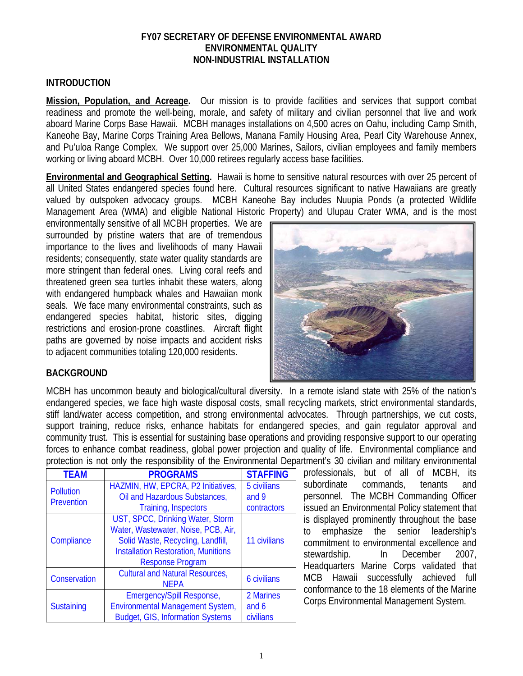#### **FY07 SECRETARY OF DEFENSE ENVIRONMENTAL AWARD ENVIRONMENTAL QUALITY NON-INDUSTRIAL INSTALLATION**

#### **INTRODUCTION**

**Mission, Population, and Acreage.** Our mission is to provide facilities and services that support combat readiness and promote the well-being, morale, and safety of military and civilian personnel that live and work aboard Marine Corps Base Hawaii. MCBH manages installations on 4,500 acres on Oahu, including Camp Smith, Kaneohe Bay, Marine Corps Training Area Bellows, Manana Family Housing Area, Pearl City Warehouse Annex, and Pu'uloa Range Complex. We support over 25,000 Marines, Sailors, civilian employees and family members working or living aboard MCBH. Over 10,000 retirees regularly access base facilities.

**Environmental and Geographical Setting.** Hawaii is home to sensitive natural resources with over 25 percent of all United States endangered species found here. Cultural resources significant to native Hawaiians are greatly valued by outspoken advocacy groups. MCBH Kaneohe Bay includes Nuupia Ponds (a protected Wildlife Management Area (WMA) and eligible National Historic Property) and Ulupau Crater WMA, and is the most

environmentally sensitive of all MCBH properties. We are surrounded by pristine waters that are of tremendous importance to the lives and livelihoods of many Hawaii residents; consequently, state water quality standards are more stringent than federal ones. Living coral reefs and threatened green sea turtles inhabit these waters, along with endangered humpback whales and Hawaiian monk seals. We face many environmental constraints, such as endangered species habitat, historic sites, digging restrictions and erosion-prone coastlines. Aircraft flight paths are governed by noise impacts and accident risks to adjacent communities totaling 120,000 residents.



### **BACKGROUND**

MCBH has uncommon beauty and biological/cultural diversity. In a remote island state with 25% of the nation's endangered species, we face high waste disposal costs, small recycling markets, strict environmental standards, stiff land/water access competition, and strong environmental advocates. Through partnerships, we cut costs, support training, reduce risks, enhance habitats for endangered species, and gain regulator approval and community trust. This is essential for sustaining base operations and providing responsive support to our operating forces to enhance combat readiness, global power projection and quality of life. Environmental compliance and protection is not only the responsibility of the Environmental Department's 30 civilian and military environmental

| <b>TEAM</b>                           | <b>PROGRAMS</b>                            | <b>STAFFING</b>    |  |
|---------------------------------------|--------------------------------------------|--------------------|--|
| <b>Pollution</b><br><b>Prevention</b> | HAZMIN, HW, EPCRA, P2 Initiatives,         | 5 civilians        |  |
|                                       | Oil and Hazardous Substances,              | and 9              |  |
|                                       | Training, Inspectors                       | contractors        |  |
| Compliance                            | UST, SPCC, Drinking Water, Storm           |                    |  |
|                                       | Water, Wastewater, Noise, PCB, Air,        |                    |  |
|                                       | Solid Waste, Recycling, Landfill,          | 11 civilians       |  |
|                                       | <b>Installation Restoration, Munitions</b> |                    |  |
|                                       | <b>Response Program</b>                    |                    |  |
| Conservation                          | <b>Cultural and Natural Resources,</b>     | <b>6 civilians</b> |  |
|                                       | <b>NEPA</b>                                |                    |  |
| <b>Sustaining</b>                     | Emergency/Spill Response,                  | 2 Marines          |  |
|                                       | <b>Environmental Management System,</b>    | and 6              |  |
|                                       | <b>Budget, GIS, Information Systems</b>    | civilians          |  |

professionals, but of all of MCBH, its subordinate commands, tenants and personnel. The MCBH Commanding Officer issued an Environmental Policy statement that is displayed prominently throughout the base to emphasize the senior leadership's commitment to environmental excellence and stewardship. In December 2007, Headquarters Marine Corps validated that MCB Hawaii successfully achieved full conformance to the 18 elements of the Marine Corps Environmental Management System.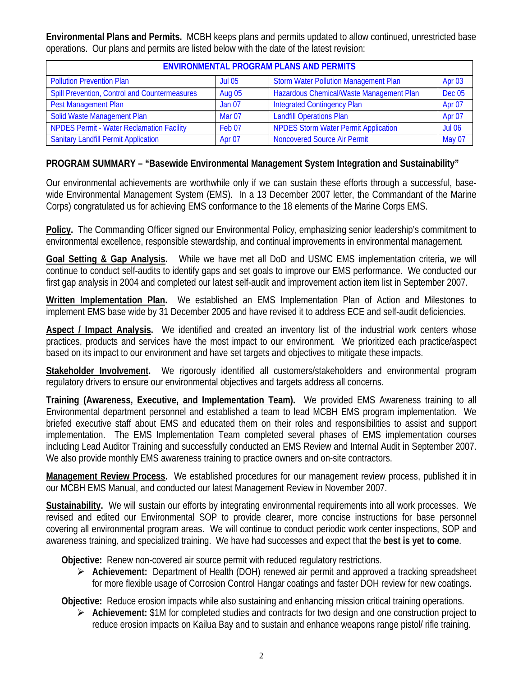**Environmental Plans and Permits.** MCBH keeps plans and permits updated to allow continued, unrestricted base operations. Our plans and permits are listed below with the date of the latest revision:

| <b>ENVIRONMENTAL PROGRAM PLANS AND PERMITS</b>   |               |                                              |               |  |  |
|--------------------------------------------------|---------------|----------------------------------------------|---------------|--|--|
| <b>Pollution Prevention Plan</b>                 | <b>Jul 05</b> | <b>Storm Water Pollution Management Plan</b> | Apr 03        |  |  |
| Spill Prevention, Control and Countermeasures    | <b>Aug 05</b> | Hazardous Chemical/Waste Management Plan     | <b>Dec 05</b> |  |  |
| <b>Pest Management Plan</b>                      | <b>Jan 07</b> | <b>Integrated Contingency Plan</b>           | Apr 07        |  |  |
| Solid Waste Management Plan                      | Mar 07        | <b>Landfill Operations Plan</b>              | Apr 07        |  |  |
| <b>NPDES Permit - Water Reclamation Facility</b> | Feb 07        | <b>NPDES Storm Water Permit Application</b>  | <b>Jul 06</b> |  |  |
| <b>Sanitary Landfill Permit Application</b>      | Apr 07        | <b>Noncovered Source Air Permit</b>          | May 07        |  |  |

# **PROGRAM SUMMARY – "Basewide Environmental Management System Integration and Sustainability"**

Our environmental achievements are worthwhile only if we can sustain these efforts through a successful, basewide Environmental Management System (EMS). In a 13 December 2007 letter, the Commandant of the Marine Corps) congratulated us for achieving EMS conformance to the 18 elements of the Marine Corps EMS.

**Policy.** The Commanding Officer signed our Environmental Policy, emphasizing senior leadership's commitment to environmental excellence, responsible stewardship, and continual improvements in environmental management.

**Goal Setting & Gap Analysis.** While we have met all DoD and USMC EMS implementation criteria, we will continue to conduct self-audits to identify gaps and set goals to improve our EMS performance. We conducted our first gap analysis in 2004 and completed our latest self-audit and improvement action item list in September 2007.

**Written Implementation Plan.** We established an EMS Implementation Plan of Action and Milestones to implement EMS base wide by 31 December 2005 and have revised it to address ECE and self-audit deficiencies.

**Aspect / Impact Analysis.** We identified and created an inventory list of the industrial work centers whose practices, products and services have the most impact to our environment. We prioritized each practice/aspect based on its impact to our environment and have set targets and objectives to mitigate these impacts.

**Stakeholder Involvement.** We rigorously identified all customers/stakeholders and environmental program regulatory drivers to ensure our environmental objectives and targets address all concerns.

**Training (Awareness, Executive, and Implementation Team).** We provided EMS Awareness training to all Environmental department personnel and established a team to lead MCBH EMS program implementation. We briefed executive staff about EMS and educated them on their roles and responsibilities to assist and support implementation. The EMS Implementation Team completed several phases of EMS implementation courses including Lead Auditor Training and successfully conducted an EMS Review and Internal Audit in September 2007. We also provide monthly EMS awareness training to practice owners and on-site contractors.

**Management Review Process.** We established procedures for our management review process, published it in our MCBH EMS Manual, and conducted our latest Management Review in November 2007.

**Sustainability.** We will sustain our efforts by integrating environmental requirements into all work processes. We revised and edited our Environmental SOP to provide clearer, more concise instructions for base personnel covering all environmental program areas. We will continue to conduct periodic work center inspections, SOP and awareness training, and specialized training. We have had successes and expect that the **best is yet to come**.

**Objective:** Renew non-covered air source permit with reduced regulatory restrictions.

¾ **Achievement:** Department of Health (DOH) renewed air permit and approved a tracking spreadsheet for more flexible usage of Corrosion Control Hangar coatings and faster DOH review for new coatings.

**Objective:** Reduce erosion impacts while also sustaining and enhancing mission critical training operations.

¾ **Achievement:** \$1M for completed studies and contracts for two design and one construction project to reduce erosion impacts on Kailua Bay and to sustain and enhance weapons range pistol/ rifle training.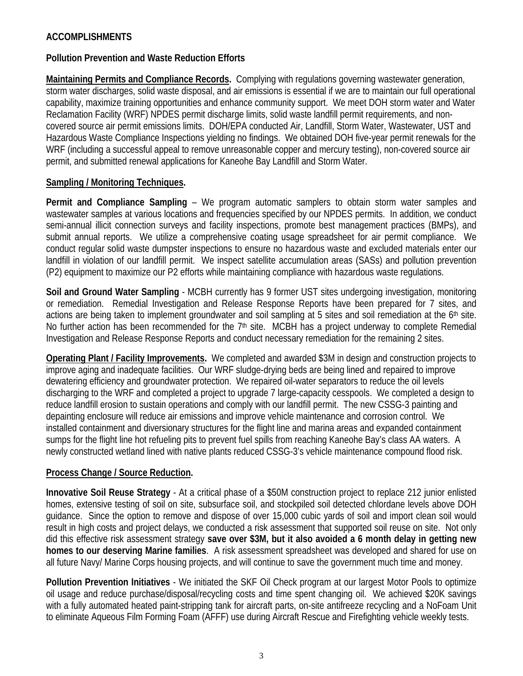# **ACCOMPLISHMENTS**

### **Pollution Prevention and Waste Reduction Efforts**

**Maintaining Permits and Compliance Records.** Complying with regulations governing wastewater generation, storm water discharges, solid waste disposal, and air emissions is essential if we are to maintain our full operational capability, maximize training opportunities and enhance community support. We meet DOH storm water and Water Reclamation Facility (WRF) NPDES permit discharge limits, solid waste landfill permit requirements, and noncovered source air permit emissions limits. DOH/EPA conducted Air, Landfill, Storm Water, Wastewater, UST and Hazardous Waste Compliance Inspections yielding no findings. We obtained DOH five-year permit renewals for the WRF (including a successful appeal to remove unreasonable copper and mercury testing), non-covered source air permit, and submitted renewal applications for Kaneohe Bay Landfill and Storm Water.

#### **Sampling / Monitoring Techniques.**

**Permit and Compliance Sampling** – We program automatic samplers to obtain storm water samples and wastewater samples at various locations and frequencies specified by our NPDES permits. In addition, we conduct semi-annual illicit connection surveys and facility inspections, promote best management practices (BMPs), and submit annual reports. We utilize a comprehensive coating usage spreadsheet for air permit compliance. We conduct regular solid waste dumpster inspections to ensure no hazardous waste and excluded materials enter our landfill in violation of our landfill permit. We inspect satellite accumulation areas (SASs) and pollution prevention (P2) equipment to maximize our P2 efforts while maintaining compliance with hazardous waste regulations.

**Soil and Ground Water Sampling** - MCBH currently has 9 former UST sites undergoing investigation, monitoring or remediation. Remedial Investigation and Release Response Reports have been prepared for 7 sites, and actions are being taken to implement groundwater and soil sampling at 5 sites and soil remediation at the 6<sup>th</sup> site. No further action has been recommended for the  $7<sup>th</sup>$  site. MCBH has a project underway to complete Remedial Investigation and Release Response Reports and conduct necessary remediation for the remaining 2 sites.

**Operating Plant / Facility Improvements.** We completed and awarded \$3M in design and construction projects to improve aging and inadequate facilities. Our WRF sludge-drying beds are being lined and repaired to improve dewatering efficiency and groundwater protection. We repaired oil-water separators to reduce the oil levels discharging to the WRF and completed a project to upgrade 7 large-capacity cesspools. We completed a design to reduce landfill erosion to sustain operations and comply with our landfill permit. The new CSSG-3 painting and depainting enclosure will reduce air emissions and improve vehicle maintenance and corrosion control. We installed containment and diversionary structures for the flight line and marina areas and expanded containment sumps for the flight line hot refueling pits to prevent fuel spills from reaching Kaneohe Bay's class AA waters. A newly constructed wetland lined with native plants reduced CSSG-3's vehicle maintenance compound flood risk.

### **Process Change / Source Reduction.**

**Innovative Soil Reuse Strategy** - At a critical phase of a \$50M construction project to replace 212 junior enlisted homes, extensive testing of soil on site, subsurface soil, and stockpiled soil detected chlordane levels above DOH guidance. Since the option to remove and dispose of over 15,000 cubic yards of soil and import clean soil would result in high costs and project delays, we conducted a risk assessment that supported soil reuse on site. Not only did this effective risk assessment strategy **save over \$3M, but it also avoided a 6 month delay in getting new homes to our deserving Marine families**. A risk assessment spreadsheet was developed and shared for use on all future Navy/ Marine Corps housing projects, and will continue to save the government much time and money.

**Pollution Prevention Initiatives** - We initiated the SKF Oil Check program at our largest Motor Pools to optimize oil usage and reduce purchase/disposal/recycling costs and time spent changing oil. We achieved \$20K savings with a fully automated heated paint-stripping tank for aircraft parts, on-site antifreeze recycling and a NoFoam Unit to eliminate Aqueous Film Forming Foam (AFFF) use during Aircraft Rescue and Firefighting vehicle weekly tests.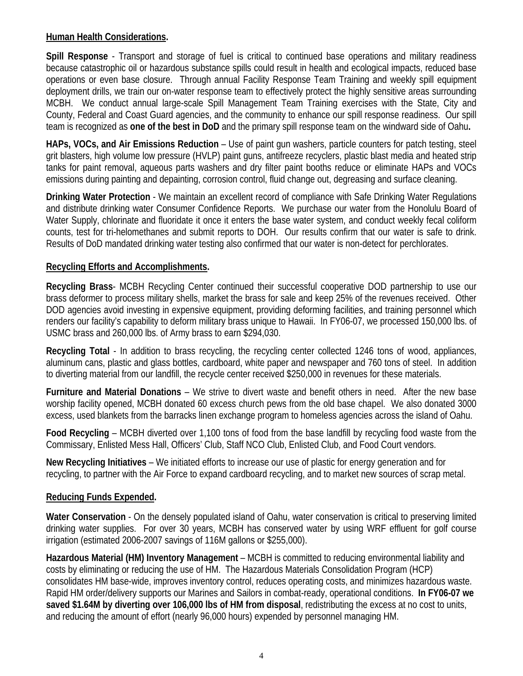# **Human Health Considerations.**

**Spill Response** - Transport and storage of fuel is critical to continued base operations and military readiness because catastrophic oil or hazardous substance spills could result in health and ecological impacts, reduced base operations or even base closure. Through annual Facility Response Team Training and weekly spill equipment deployment drills, we train our on-water response team to effectively protect the highly sensitive areas surrounding MCBH. We conduct annual large-scale Spill Management Team Training exercises with the State, City and County, Federal and Coast Guard agencies, and the community to enhance our spill response readiness. Our spill team is recognized as **one of the best in DoD** and the primary spill response team on the windward side of Oahu**.** 

**HAPs, VOCs, and Air Emissions Reduction** – Use of paint gun washers, particle counters for patch testing, steel grit blasters, high volume low pressure (HVLP) paint guns, antifreeze recyclers, plastic blast media and heated strip tanks for paint removal, aqueous parts washers and dry filter paint booths reduce or eliminate HAPs and VOCs emissions during painting and depainting, corrosion control, fluid change out, degreasing and surface cleaning.

**Drinking Water Protection** - We maintain an excellent record of compliance with Safe Drinking Water Regulations and distribute drinking water Consumer Confidence Reports. We purchase our water from the Honolulu Board of Water Supply, chlorinate and fluoridate it once it enters the base water system, and conduct weekly fecal coliform counts, test for tri-helomethanes and submit reports to DOH. Our results confirm that our water is safe to drink. Results of DoD mandated drinking water testing also confirmed that our water is non-detect for perchlorates.

# **Recycling Efforts and Accomplishments.**

**Recycling Brass**- MCBH Recycling Center continued their successful cooperative DOD partnership to use our brass deformer to process military shells, market the brass for sale and keep 25% of the revenues received. Other DOD agencies avoid investing in expensive equipment, providing deforming facilities, and training personnel which renders our facility's capability to deform military brass unique to Hawaii. In FY06-07, we processed 150,000 lbs. of USMC brass and 260,000 lbs. of Army brass to earn \$294,030.

**Recycling Total** - In addition to brass recycling, the recycling center collected 1246 tons of wood, appliances, aluminum cans, plastic and glass bottles, cardboard, white paper and newspaper and 760 tons of steel. In addition to diverting material from our landfill, the recycle center received \$250,000 in revenues for these materials.

**Furniture and Material Donations** – We strive to divert waste and benefit others in need. After the new base worship facility opened, MCBH donated 60 excess church pews from the old base chapel. We also donated 3000 excess, used blankets from the barracks linen exchange program to homeless agencies across the island of Oahu.

**Food Recycling** – MCBH diverted over 1,100 tons of food from the base landfill by recycling food waste from the Commissary, Enlisted Mess Hall, Officers' Club, Staff NCO Club, Enlisted Club, and Food Court vendors.

**New Recycling Initiatives** – We initiated efforts to increase our use of plastic for energy generation and for recycling, to partner with the Air Force to expand cardboard recycling, and to market new sources of scrap metal.

### **Reducing Funds Expended.**

**Water Conservation** - On the densely populated island of Oahu, water conservation is critical to preserving limited drinking water supplies. For over 30 years, MCBH has conserved water by using WRF effluent for golf course irrigation (estimated 2006-2007 savings of 116M gallons or \$255,000).

**Hazardous Material (HM) Inventory Management** – MCBH is committed to reducing environmental liability and costs by eliminating or reducing the use of HM. The Hazardous Materials Consolidation Program (HCP) consolidates HM base-wide, improves inventory control, reduces operating costs, and minimizes hazardous waste. Rapid HM order/delivery supports our Marines and Sailors in combat-ready, operational conditions. **In FY06-07 we saved \$1.64M by diverting over 106,000 lbs of HM from disposal**, redistributing the excess at no cost to units, and reducing the amount of effort (nearly 96,000 hours) expended by personnel managing HM.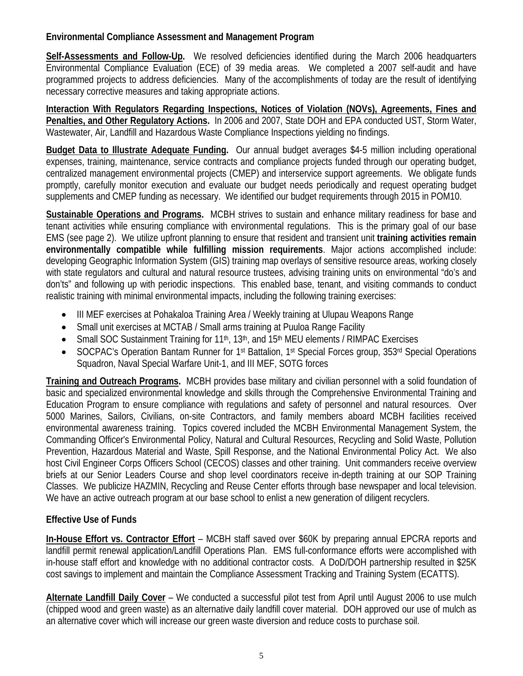# **Environmental Compliance Assessment and Management Program**

**Self-Assessments and Follow-Up.** We resolved deficiencies identified during the March 2006 headquarters Environmental Compliance Evaluation (ECE) of 39 media areas. We completed a 2007 self-audit and have programmed projects to address deficiencies. Many of the accomplishments of today are the result of identifying necessary corrective measures and taking appropriate actions.

**Interaction With Regulators Regarding Inspections, Notices of Violation (NOVs), Agreements, Fines and Penalties, and Other Regulatory Actions.** In 2006 and 2007, State DOH and EPA conducted UST, Storm Water, Wastewater, Air, Landfill and Hazardous Waste Compliance Inspections yielding no findings.

**Budget Data to Illustrate Adequate Funding.** Our annual budget averages \$4-5 million including operational expenses, training, maintenance, service contracts and compliance projects funded through our operating budget, centralized management environmental projects (CMEP) and interservice support agreements. We obligate funds promptly, carefully monitor execution and evaluate our budget needs periodically and request operating budget supplements and CMEP funding as necessary. We identified our budget requirements through 2015 in POM10.

**Sustainable Operations and Programs.** MCBH strives to sustain and enhance military readiness for base and tenant activities while ensuring compliance with environmental regulations. This is the primary goal of our base EMS (see page 2). We utilize upfront planning to ensure that resident and transient unit **training activities remain environmentally compatible while fulfilling mission requirements**. Major actions accomplished include: developing Geographic Information System (GIS) training map overlays of sensitive resource areas, working closely with state regulators and cultural and natural resource trustees, advising training units on environmental "do's and don'ts" and following up with periodic inspections. This enabled base, tenant, and visiting commands to conduct realistic training with minimal environmental impacts, including the following training exercises:

- III MEF exercises at Pohakaloa Training Area / Weekly training at Ulupau Weapons Range
- Small unit exercises at MCTAB / Small arms training at Puuloa Range Facility
- Small SOC Sustainment Training for 11<sup>th</sup>, 13<sup>th</sup>, and 15<sup>th</sup> MEU elements / RIMPAC Exercises
- SOCPAC's Operation Bantam Runner for 1st Battalion, 1st Special Forces group, 353rd Special Operations Squadron, Naval Special Warfare Unit-1, and III MEF, SOTG forces

**Training and Outreach Programs.** MCBH provides base military and civilian personnel with a solid foundation of basic and specialized environmental knowledge and skills through the Comprehensive Environmental Training and Education Program to ensure compliance with regulations and safety of personnel and natural resources. Over 5000 Marines, Sailors, Civilians, on-site Contractors, and family members aboard MCBH facilities received environmental awareness training. Topics covered included the MCBH Environmental Management System, the Commanding Officer's Environmental Policy, Natural and Cultural Resources, Recycling and Solid Waste, Pollution Prevention, Hazardous Material and Waste, Spill Response, and the National Environmental Policy Act. We also host Civil Engineer Corps Officers School (CECOS) classes and other training. Unit commanders receive overview briefs at our Senior Leaders Course and shop level coordinators receive in-depth training at our SOP Training Classes. We publicize HAZMIN, Recycling and Reuse Center efforts through base newspaper and local television. We have an active outreach program at our base school to enlist a new generation of diligent recyclers.

# **Effective Use of Funds**

**In-House Effort vs. Contractor Effort** – MCBH staff saved over \$60K by preparing annual EPCRA reports and landfill permit renewal application/Landfill Operations Plan. EMS full-conformance efforts were accomplished with in-house staff effort and knowledge with no additional contractor costs. A DoD/DOH partnership resulted in \$25K cost savings to implement and maintain the Compliance Assessment Tracking and Training System (ECATTS).

**Alternate Landfill Daily Cover** – We conducted a successful pilot test from April until August 2006 to use mulch (chipped wood and green waste) as an alternative daily landfill cover material. DOH approved our use of mulch as an alternative cover which will increase our green waste diversion and reduce costs to purchase soil.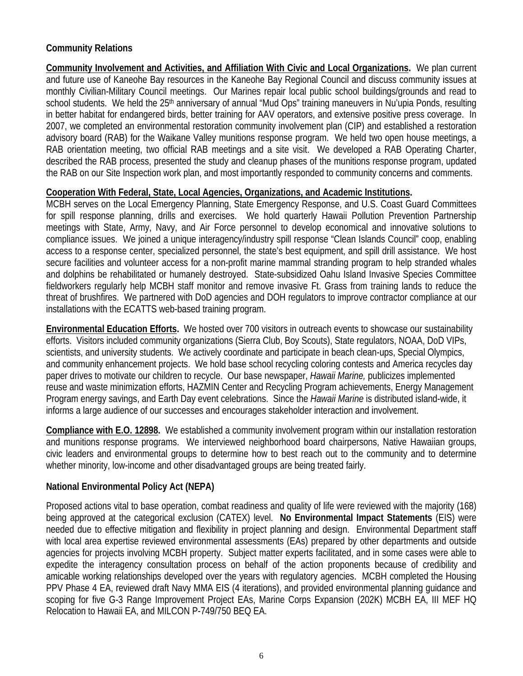# **Community Relations**

**Community Involvement and Activities, and Affiliation With Civic and Local Organizations.** We plan current and future use of Kaneohe Bay resources in the Kaneohe Bay Regional Council and discuss community issues at monthly Civilian-Military Council meetings. Our Marines repair local public school buildings/grounds and read to school students. We held the 25<sup>th</sup> anniversary of annual "Mud Ops" training maneuvers in Nu'upia Ponds, resulting in better habitat for endangered birds, better training for AAV operators, and extensive positive press coverage. In 2007, we completed an environmental restoration community involvement plan (CIP) and established a restoration advisory board (RAB) for the Waikane Valley munitions response program. We held two open house meetings, a RAB orientation meeting, two official RAB meetings and a site visit. We developed a RAB Operating Charter, described the RAB process, presented the study and cleanup phases of the munitions response program, updated the RAB on our Site Inspection work plan, and most importantly responded to community concerns and comments.

### **Cooperation With Federal, State, Local Agencies, Organizations, and Academic Institutions.**

MCBH serves on the Local Emergency Planning, State Emergency Response, and U.S. Coast Guard Committees for spill response planning, drills and exercises. We hold quarterly Hawaii Pollution Prevention Partnership meetings with State, Army, Navy, and Air Force personnel to develop economical and innovative solutions to compliance issues. We joined a unique interagency/industry spill response "Clean Islands Council" coop, enabling access to a response center, specialized personnel, the state's best equipment, and spill drill assistance. We host secure facilities and volunteer access for a non-profit marine mammal stranding program to help stranded whales and dolphins be rehabilitated or humanely destroyed. State-subsidized Oahu Island Invasive Species Committee fieldworkers regularly help MCBH staff monitor and remove invasive Ft. Grass from training lands to reduce the threat of brushfires. We partnered with DoD agencies and DOH regulators to improve contractor compliance at our installations with the ECATTS web-based training program.

**Environmental Education Efforts.** We hosted over 700 visitors in outreach events to showcase our sustainability efforts. Visitors included community organizations (Sierra Club, Boy Scouts), State regulators, NOAA, DoD VIPs, scientists, and university students. We actively coordinate and participate in beach clean-ups, Special Olympics, and community enhancement projects. We hold base school recycling coloring contests and America recycles day paper drives to motivate our children to recycle. Our base newspaper, *Hawaii Marine,* publicizes implemented reuse and waste minimization efforts, HAZMIN Center and Recycling Program achievements, Energy Management Program energy savings, and Earth Day event celebrations. Since the *Hawaii Marine* is distributed island-wide, it informs a large audience of our successes and encourages stakeholder interaction and involvement.

**Compliance with E.O. 12898.** We established a community involvement program within our installation restoration and munitions response programs. We interviewed neighborhood board chairpersons, Native Hawaiian groups, civic leaders and environmental groups to determine how to best reach out to the community and to determine whether minority, low-income and other disadvantaged groups are being treated fairly.

### **National Environmental Policy Act (NEPA)**

Proposed actions vital to base operation, combat readiness and quality of life were reviewed with the majority (168) being approved at the categorical exclusion (CATEX) level. **No Environmental Impact Statements** (EIS) were needed due to effective mitigation and flexibility in project planning and design. Environmental Department staff with local area expertise reviewed environmental assessments (EAs) prepared by other departments and outside agencies for projects involving MCBH property. Subject matter experts facilitated, and in some cases were able to expedite the interagency consultation process on behalf of the action proponents because of credibility and amicable working relationships developed over the years with regulatory agencies. MCBH completed the Housing PPV Phase 4 EA, reviewed draft Navy MMA EIS (4 iterations), and provided environmental planning guidance and scoping for five G-3 Range Improvement Project EAs, Marine Corps Expansion (202K) MCBH EA, III MEF HQ Relocation to Hawaii EA, and MILCON P-749/750 BEQ EA.